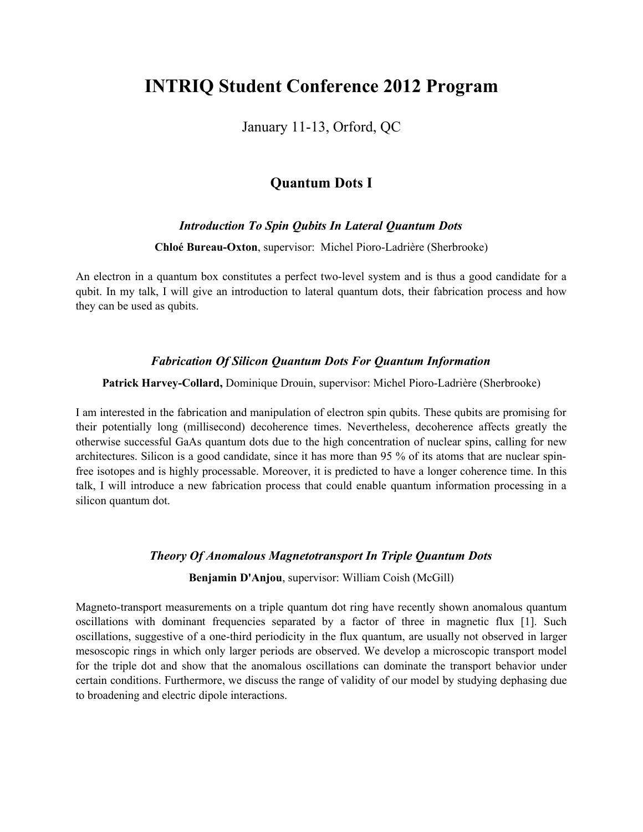# **INTRIQ Student Conference 2012 Program**

January 11-13, Orford, QC

## **Quantum Dots I**

#### *Introduction To Spin Qubits In Lateral Quantum Dots*

**Chloé Bureau-Oxton**, supervisor: Michel Pioro-Ladrière (Sherbrooke)

An electron in a quantum box constitutes a perfect two-level system and is thus a good candidate for a qubit. In my talk, I will give an introduction to lateral quantum dots, their fabrication process and how they can be used as qubits.

### *Fabrication Of Silicon Quantum Dots For Quantum Information*

#### **Patrick Harvey-Collard,** Dominique Drouin, supervisor: Michel Pioro-Ladrière (Sherbrooke)

I am interested in the fabrication and manipulation of electron spin qubits. These qubits are promising for their potentially long (millisecond) decoherence times. Nevertheless, decoherence affects greatly the otherwise successful GaAs quantum dots due to the high concentration of nuclear spins, calling for new architectures. Silicon is a good candidate, since it has more than 95 % of its atoms that are nuclear spinfree isotopes and is highly processable. Moreover, it is predicted to have a longer coherence time. In this talk, I will introduce a new fabrication process that could enable quantum information processing in a silicon quantum dot.

#### *Theory Of Anomalous Magnetotransport In Triple Quantum Dots*

**Benjamin D'Anjou**, supervisor: William Coish (McGill)

Magneto-transport measurements on a triple quantum dot ring have recently shown anomalous quantum oscillations with dominant frequencies separated by a factor of three in magnetic flux [1]. Such oscillations, suggestive of a one-third periodicity in the flux quantum, are usually not observed in larger mesoscopic rings in which only larger periods are observed. We develop a microscopic transport model for the triple dot and show that the anomalous oscillations can dominate the transport behavior under certain conditions. Furthermore, we discuss the range of validity of our model by studying dephasing due to broadening and electric dipole interactions.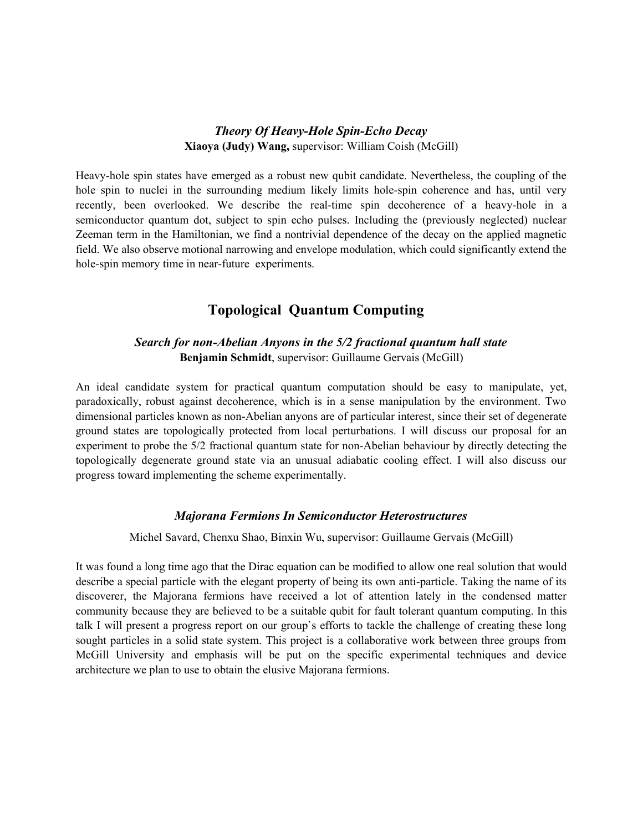### *Theory Of Heavy-Hole Spin-Echo Decay* **Xiaoya (Judy) Wang,** supervisor: William Coish (McGill)

Heavy-hole spin states have emerged as a robust new qubit candidate. Nevertheless, the coupling of the hole spin to nuclei in the surrounding medium likely limits hole-spin coherence and has, until very recently, been overlooked. We describe the real-time spin decoherence of a heavy-hole in a semiconductor quantum dot, subject to spin echo pulses. Including the (previously neglected) nuclear Zeeman term in the Hamiltonian, we find a nontrivial dependence of the decay on the applied magnetic field. We also observe motional narrowing and envelope modulation, which could significantly extend the hole-spin memory time in near-future experiments.

## **Topological Quantum Computing**

## *Search for non-Abelian Anyons in the 5/2 fractional quantum hall state* **Benjamin Schmidt**, supervisor: Guillaume Gervais (McGill)

An ideal candidate system for practical quantum computation should be easy to manipulate, yet, paradoxically, robust against decoherence, which is in a sense manipulation by the environment. Two dimensional particles known as non-Abelian anyons are of particular interest, since their set of degenerate ground states are topologically protected from local perturbations. I will discuss our proposal for an experiment to probe the 5/2 fractional quantum state for non-Abelian behaviour by directly detecting the topologically degenerate ground state via an unusual adiabatic cooling effect. I will also discuss our progress toward implementing the scheme experimentally.

## *Majorana Fermions In Semiconductor Heterostructures*

#### Michel Savard, Chenxu Shao, Binxin Wu, supervisor: Guillaume Gervais (McGill)

It was found a long time ago that the Dirac equation can be modified to allow one real solution that would describe a special particle with the elegant property of being its own anti-particle. Taking the name of its discoverer, the Majorana fermions have received a lot of attention lately in the condensed matter community because they are believed to be a suitable qubit for fault tolerant quantum computing. In this talk I will present a progress report on our group`s efforts to tackle the challenge of creating these long sought particles in a solid state system. This project is a collaborative work between three groups from McGill University and emphasis will be put on the specific experimental techniques and device architecture we plan to use to obtain the elusive Majorana fermions.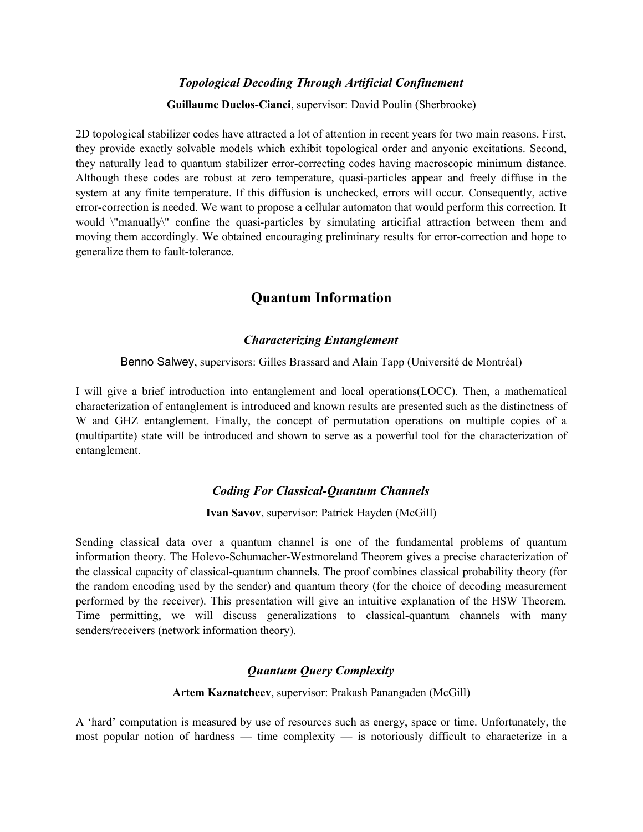#### *Topological Decoding Through Artificial Confinement*

**Guillaume Duclos-Cianci**, supervisor: David Poulin (Sherbrooke)

2D topological stabilizer codes have attracted a lot of attention in recent years for two main reasons. First, they provide exactly solvable models which exhibit topological order and anyonic excitations. Second, they naturally lead to quantum stabilizer error-correcting codes having macroscopic minimum distance. Although these codes are robust at zero temperature, quasi-particles appear and freely diffuse in the system at any finite temperature. If this diffusion is unchecked, errors will occur. Consequently, active error-correction is needed. We want to propose a cellular automaton that would perform this correction. It would \"manually\" confine the quasi-particles by simulating articifial attraction between them and moving them accordingly. We obtained encouraging preliminary results for error-correction and hope to generalize them to fault-tolerance.

## **Quantum Information**

#### *Characterizing Entanglement*

Benno Salwey, supervisors: Gilles Brassard and Alain Tapp (Université de Montréal)

I will give a brief introduction into entanglement and local operations(LOCC). Then, a mathematical characterization of entanglement is introduced and known results are presented such as the distinctness of W and GHZ entanglement. Finally, the concept of permutation operations on multiple copies of a (multipartite) state will be introduced and shown to serve as a powerful tool for the characterization of entanglement.

#### *Coding For Classical-Quantum Channels*

**Ivan Savov**, supervisor: Patrick Hayden (McGill)

Sending classical data over a quantum channel is one of the fundamental problems of quantum information theory. The Holevo-Schumacher-Westmoreland Theorem gives a precise characterization of the classical capacity of classical-quantum channels. The proof combines classical probability theory (for the random encoding used by the sender) and quantum theory (for the choice of decoding measurement performed by the receiver). This presentation will give an intuitive explanation of the HSW Theorem. Time permitting, we will discuss generalizations to classical-quantum channels with many senders/receivers (network information theory).

#### *Quantum Query Complexity*

#### **Artem Kaznatcheev**, supervisor: Prakash Panangaden (McGill)

A 'hard' computation is measured by use of resources such as energy, space or time. Unfortunately, the most popular notion of hardness — time complexity — is notoriously difficult to characterize in a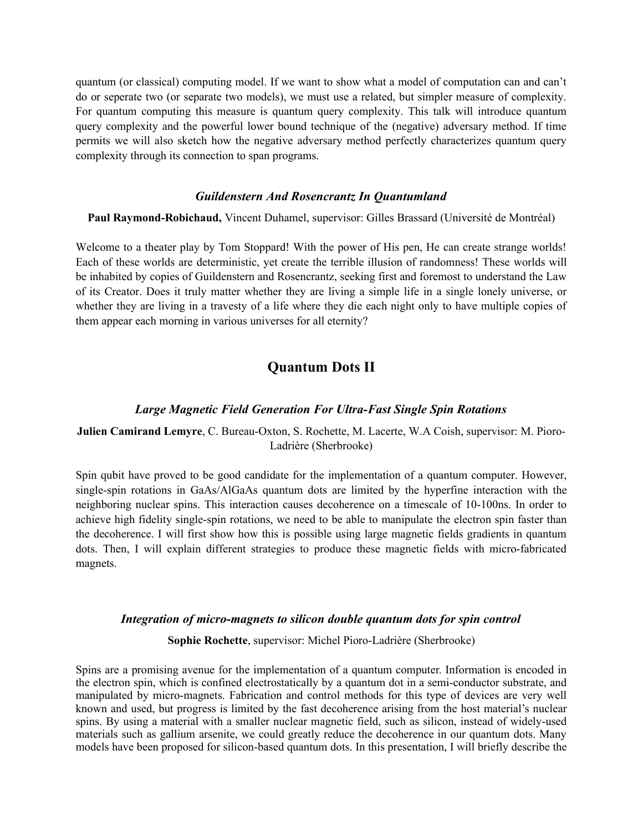quantum (or classical) computing model. If we want to show what a model of computation can and can't do or seperate two (or separate two models), we must use a related, but simpler measure of complexity. For quantum computing this measure is quantum query complexity. This talk will introduce quantum query complexity and the powerful lower bound technique of the (negative) adversary method. If time permits we will also sketch how the negative adversary method perfectly characterizes quantum query complexity through its connection to span programs.

#### *Guildenstern And Rosencrantz In Quantumland*

#### **Paul Raymond-Robichaud,** Vincent Duhamel, supervisor: Gilles Brassard (Université de Montréal)

Welcome to a theater play by Tom Stoppard! With the power of His pen, He can create strange worlds! Each of these worlds are deterministic, yet create the terrible illusion of randomness! These worlds will be inhabited by copies of Guildenstern and Rosencrantz, seeking first and foremost to understand the Law of its Creator. Does it truly matter whether they are living a simple life in a single lonely universe, or whether they are living in a travesty of a life where they die each night only to have multiple copies of them appear each morning in various universes for all eternity?

## **Quantum Dots II**

#### *Large Magnetic Field Generation For Ultra-Fast Single Spin Rotations*

#### **Julien Camirand Lemyre**, C. Bureau-Oxton, S. Rochette, M. Lacerte, W.A Coish, supervisor: M. Pioro-Ladrière (Sherbrooke)

Spin qubit have proved to be good candidate for the implementation of a quantum computer. However, single-spin rotations in GaAs/AlGaAs quantum dots are limited by the hyperfine interaction with the neighboring nuclear spins. This interaction causes decoherence on a timescale of 10-100ns. In order to achieve high fidelity single-spin rotations, we need to be able to manipulate the electron spin faster than the decoherence. I will first show how this is possible using large magnetic fields gradients in quantum dots. Then, I will explain different strategies to produce these magnetic fields with micro-fabricated magnets.

#### *Integration of micro-magnets to silicon double quantum dots for spin control*

**Sophie Rochette**, supervisor: Michel Pioro-Ladrière (Sherbrooke)

Spins are a promising avenue for the implementation of a quantum computer. Information is encoded in the electron spin, which is confined electrostatically by a quantum dot in a semi-conductor substrate, and manipulated by micro-magnets. Fabrication and control methods for this type of devices are very well known and used, but progress is limited by the fast decoherence arising from the host material's nuclear spins. By using a material with a smaller nuclear magnetic field, such as silicon, instead of widely-used materials such as gallium arsenite, we could greatly reduce the decoherence in our quantum dots. Many models have been proposed for silicon-based quantum dots. In this presentation, I will briefly describe the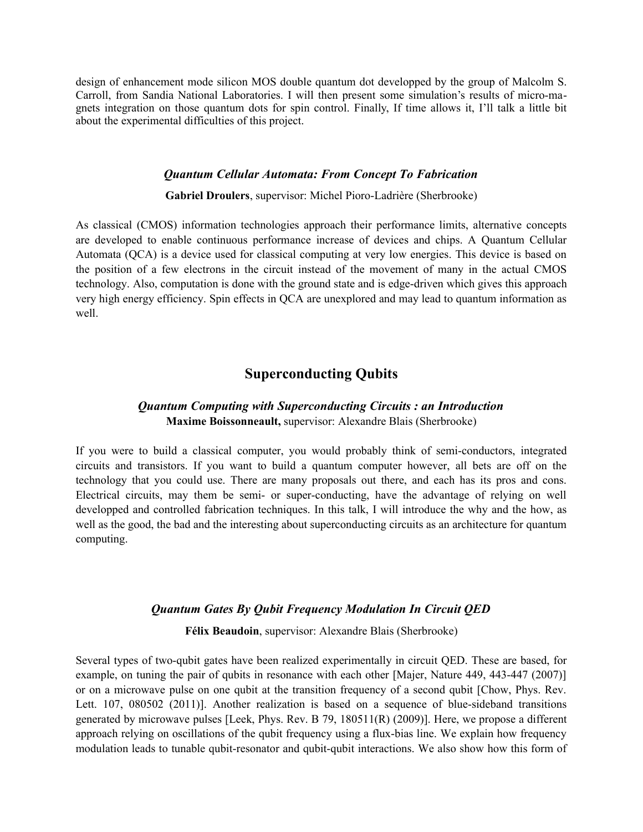design of enhancement mode silicon MOS double quantum dot developped by the group of Malcolm S. Carroll, from Sandia National Laboratories. I will then present some simulation's results of micro-magnets integration on those quantum dots for spin control. Finally, If time allows it, I'll talk a little bit about the experimental difficulties of this project.

#### *Quantum Cellular Automata: From Concept To Fabrication*

#### **Gabriel Droulers**, supervisor: Michel Pioro-Ladrière (Sherbrooke)

As classical (CMOS) information technologies approach their performance limits, alternative concepts are developed to enable continuous performance increase of devices and chips. A Quantum Cellular Automata (QCA) is a device used for classical computing at very low energies. This device is based on the position of a few electrons in the circuit instead of the movement of many in the actual CMOS technology. Also, computation is done with the ground state and is edge-driven which gives this approach very high energy efficiency. Spin effects in QCA are unexplored and may lead to quantum information as well.

## **Superconducting Qubits**

## *Quantum Computing with Superconducting Circuits : an Introduction* **Maxime Boissonneault,** supervisor: Alexandre Blais (Sherbrooke)

If you were to build a classical computer, you would probably think of semi-conductors, integrated circuits and transistors. If you want to build a quantum computer however, all bets are off on the technology that you could use. There are many proposals out there, and each has its pros and cons. Electrical circuits, may them be semi- or super-conducting, have the advantage of relying on well developped and controlled fabrication techniques. In this talk, I will introduce the why and the how, as well as the good, the bad and the interesting about superconducting circuits as an architecture for quantum computing.

#### *Quantum Gates By Qubit Frequency Modulation In Circuit QED*

**Félix Beaudoin**, supervisor: Alexandre Blais (Sherbrooke)

Several types of two-qubit gates have been realized experimentally in circuit QED. These are based, for example, on tuning the pair of qubits in resonance with each other [Majer, Nature 449, 443-447 (2007)] or on a microwave pulse on one qubit at the transition frequency of a second qubit [Chow, Phys. Rev. Lett. 107, 080502 (2011)]. Another realization is based on a sequence of blue-sideband transitions generated by microwave pulses [Leek, Phys. Rev. B 79, 180511(R) (2009)]. Here, we propose a different approach relying on oscillations of the qubit frequency using a flux-bias line. We explain how frequency modulation leads to tunable qubit-resonator and qubit-qubit interactions. We also show how this form of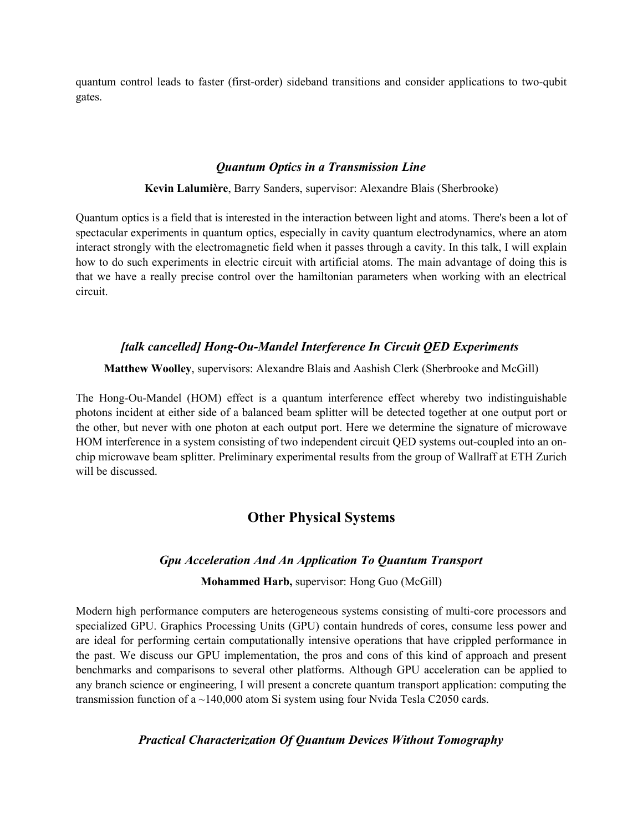quantum control leads to faster (first-order) sideband transitions and consider applications to two-qubit gates.

### *Quantum Optics in a Transmission Line*

**Kevin Lalumière**, Barry Sanders, supervisor: Alexandre Blais (Sherbrooke)

Quantum optics is a field that is interested in the interaction between light and atoms. There's been a lot of spectacular experiments in quantum optics, especially in cavity quantum electrodynamics, where an atom interact strongly with the electromagnetic field when it passes through a cavity. In this talk, I will explain how to do such experiments in electric circuit with artificial atoms. The main advantage of doing this is that we have a really precise control over the hamiltonian parameters when working with an electrical circuit.

## *[talk cancelled] Hong-Ou-Mandel Interference In Circuit QED Experiments*

**Matthew Woolley**, supervisors: Alexandre Blais and Aashish Clerk (Sherbrooke and McGill)

The Hong-Ou-Mandel (HOM) effect is a quantum interference effect whereby two indistinguishable photons incident at either side of a balanced beam splitter will be detected together at one output port or the other, but never with one photon at each output port. Here we determine the signature of microwave HOM interference in a system consisting of two independent circuit QED systems out-coupled into an onchip microwave beam splitter. Preliminary experimental results from the group of Wallraff at ETH Zurich will be discussed.

## **Other Physical Systems**

## *Gpu Acceleration And An Application To Quantum Transport*

**Mohammed Harb,** supervisor: Hong Guo (McGill)

Modern high performance computers are heterogeneous systems consisting of multi-core processors and specialized GPU. Graphics Processing Units (GPU) contain hundreds of cores, consume less power and are ideal for performing certain computationally intensive operations that have crippled performance in the past. We discuss our GPU implementation, the pros and cons of this kind of approach and present benchmarks and comparisons to several other platforms. Although GPU acceleration can be applied to any branch science or engineering, I will present a concrete quantum transport application: computing the transmission function of a  $\sim$ 140,000 atom Si system using four Nvida Tesla C2050 cards.

## *Practical Characterization Of Quantum Devices Without Tomography*